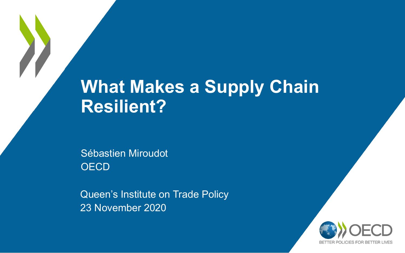## **What Makes a Supply Chain Resilient?**

Sébastien Miroudot **OECD** 

Queen's Institute on Trade Policy 23 November 2020

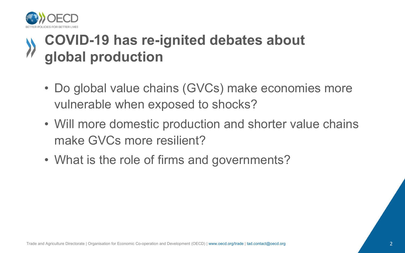

#### **COVID-19 has re-ignited debates about global production**

- Do global value chains (GVCs) make economies more vulnerable when exposed to shocks?
- Will more domestic production and shorter value chains make GVCs more resilient?
- What is the role of firms and governments?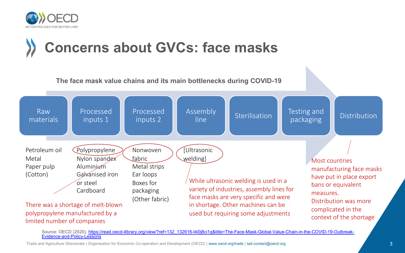

#### **[Concerns about GVCs: face masks](https://read.oecd-ilibrary.org/view/?ref=132_132616-l4i0j8ci1q&title=The-Face-Mask-Global-Value-Chain-in-the-COVID-19-Outbreak-Evidence-and-Policy-Lessons)**

**The face mask value chains and its main bottlenecks during COVID-19**



Source: OECD (2020). https://read.oecd-ilibrary.org/view/?ref=132\_132616-l4i0j8ci1q&title=The-Face-Mask-Global-Value-Chain-in-the-COVID-19-Outb<br>Evidence-and-Policy-Lessons

Trade and Agriculture Directorate | Organisation for Economic Co-operation and Development (OECD) | www.oecd.org/trade | tad.contact@oecd.org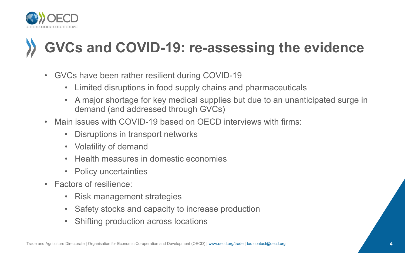

# **GVCs and COVID-19: re-assessing the evidence**

- GVCs have been rather resilient during COVID-19
	- Limited disruptions in food supply chains and pharmaceuticals
	- A major shortage for key medical supplies but due to an unanticipated surge in demand (and addressed through GVCs)
- Main issues with COVID-19 based on OFCD interviews with firms:
	- Disruptions in transport networks
	- Volatility of demand
	- Health measures in domestic economies
	- Policy uncertainties
- Factors of resilience:
	- Risk management strategies
	- Safety stocks and capacity to increase production
	- Shifting production across locations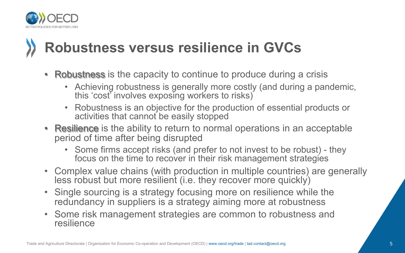

## **Robustness versus resilience in GVCs**

- Robustness is the capacity to continue to produce during a crisis
	- Achieving robustness is generally more costly (and during a pandemic, this 'cost' involves exposing workers to risks)
	- Robustness is an objective for the production of essential products or activities that cannot be easily stopped
- Resilience is the ability to return to normal operations in an acceptable period of time after being disrupted
	- Some firms accept risks (and prefer to not invest to be robust) they focus on the time to recover in their risk management strategies
- Complex value chains (with production in multiple countries) are generally less robust but more resilient (i.e. they recover more quickly)
- Single sourcing is a strategy focusing more on resilience while the redundancy in suppliers is a strategy aiming more at robustness
- Some risk management strategies are common to robustness and resilience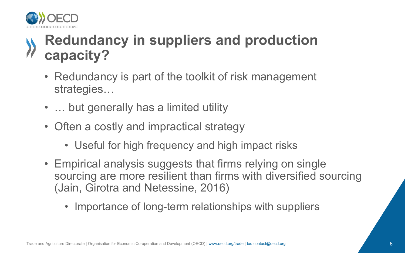

#### **Redundancy in suppliers and production capacity?**

- Redundancy is part of the toolkit of risk management strategies…
- … but generally has a limited utility
- Often a costly and impractical strategy
	- Useful for high frequency and high impact risks
- Empirical analysis suggests that firms relying on single sourcing are more resilient than firms with diversified sourcing (Jain, Girotra and Netessine, 2016)
	- Importance of long-term relationships with suppliers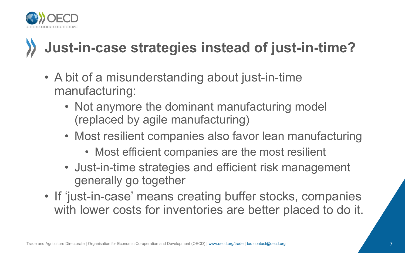

# **Just-in-case strategies instead of just-in-time?**

- A bit of a misunderstanding about just-in-time manufacturing:
	- Not anymore the dominant manufacturing model (replaced by agile manufacturing)
	- Most resilient companies also favor lean manufacturing
		- Most efficient companies are the most resilient
	- Just-in-time strategies and efficient risk management generally go together
- If 'just-in-case' means creating buffer stocks, companies with lower costs for inventories are better placed to do it.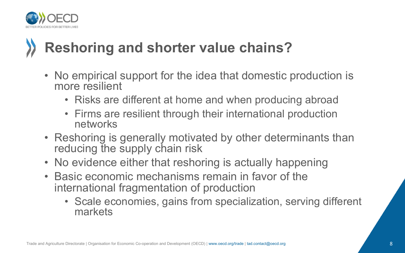

## **Reshoring and shorter value chains?**

- No empirical support for the idea that domestic production is more resilient
	- Risks are different at home and when producing abroad
	- Firms are resilient through their international production networks
- Reshoring is generally motivated by other determinants than reducing the supply chain risk
- No evidence either that reshoring is actually happening
- Basic economic mechanisms remain in favor of the international fragmentation of production
	- Scale economies, gains from specialization, serving different markets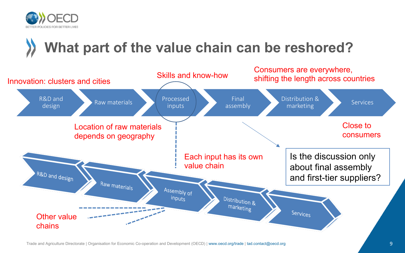

## **What part of the value chain can be reshored?**

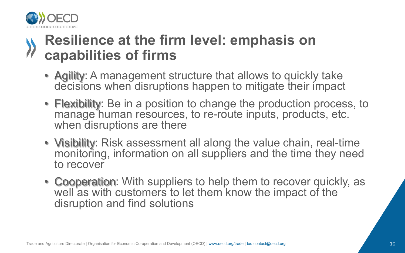

#### **Resilience at the firm level: emphasis on capabilities of firms**

- Agility: A management structure that allows to quickly take decisions when disruptions happen to mitigate their impact
- Flexibility: Be in a position to change the production process, to manage human resources, to re-route inputs, products, etc. when disruptions are there
- Visibility: Risk assessment all along the value chain, real-time monitoring, information on all suppliers and the time they need to recover
- Cooperation: With suppliers to help them to recover quickly, as well as with customers to let them know the impact of the disruption and find solutions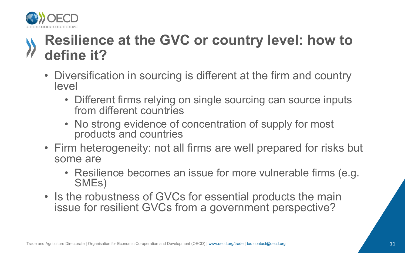

#### **Resilience at the GVC or country level: how to define it?**

- Diversification in sourcing is different at the firm and country level
	- Different firms relying on single sourcing can source inputs from different countries
	- No strong evidence of concentration of supply for most products and countries
- Firm heterogeneity: not all firms are well prepared for risks but some are
	- Resilience becomes an issue for more vulnerable firms (e.g. SMEs)
- Is the robustness of GVCs for essential products the main issue for resilient GVCs from a government perspective?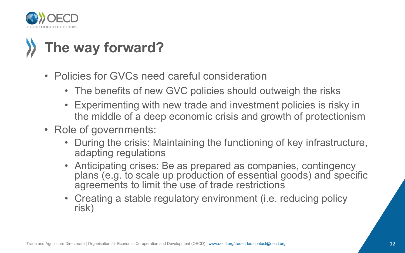

## **The way forward?**

- Policies for GVCs need careful consideration
	- The benefits of new GVC policies should outweigh the risks
	- Experimenting with new trade and investment policies is risky in the middle of a deep economic crisis and growth of protectionism
- Role of governments:
	- During the crisis: Maintaining the functioning of key infrastructure, adapting regulations
	- Anticipating crises: Be as prepared as companies, contingency plans (e.g. to scale up production of essential goods) and specific agreements to limit the use of trade restrictions
	- Creating a stable regulatory environment (i.e. reducing policy risk)